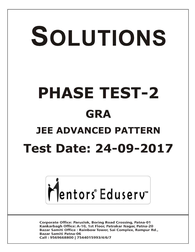# SOLUTIONS **PHASE TEST-2 GRA JEE ADVANCED PATTERN Test Date: 24-09-2017**



**Corporate Office: Paruslok, Boring Road Crossing, Patna-01** Kankarbagh Office: A-10, 1st Floor, Patrakar Nagar, Patna-20 Bazar Samiti Office: Rainbow Tower, Sai Complex, Rampur Rd., **Bazar Samiti Patna-06** Call: 9569668800 | 7544015993/4/6/7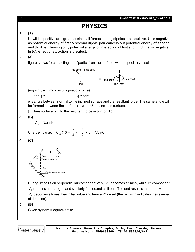[ **2** ] **PHASE TEST-II (ADV) GRA\_24.09.2017 PHYSICS 1. (A)**  $\mathsf{U}_\mathtt{1}$  will be positive and greatest since all forces among dipoles are repulsive.  $\mathsf{U}_\mathtt{2}$  is negative as potential energy of first & second dipole pair cancels out potential energy of second and third pair, leaving only potential energy of interaction of first and third, that is negative. In (c), effect of attraction is greatest. **2. (A)** figure shows forces acting on a 'particle' on the surface, with respect to vessel. mg sinq - µ mg cos  $\frac{1}{\sqrt{2}}$  =  $\frac{1}{\sqrt{2}}$  mg cose resultant (mg sin  $\theta - \mu$  mg cos  $\theta$  is pseudo force).  $\tan \phi = \mu$  :  $\phi = \tan^{-1} \mu$ .  $\phi$  is angle between normal to the inclined surface and the resultant force. The same angle will be formed between the surface of water & the inclined surface.  $\{\cdot\cdot\}$  free surface is  $\perp$  to the resultant force acting on it.} **3. (B)**  $\therefore$  C<sub>eq</sub> = 3/2 µF 15 3 Charge flow  $\Delta q = C_{\text{eq}} (10 - \frac{12}{3})$  $) = \frac{1}{2}$  $\times$  5 = 7.5 µC. **4. (C)** " (after 1<sup>ª</sup> collision V" (after second collision) During 1st collision perpendicular component of V,  $\vee_{\perp}$  becomes e times, while II<sup>nd</sup> component  $V_{\parallel}$  remains unchanged and similarly for second collision. The end result is that both  $V_{\parallel}$  and V $_{\perp}$  becomes e times their initial value and hence V"= – eV (the ( – ) sign indicates the reversal of direction). **5. (B)** Given system is equivalent toMentors Eduserv **Mentors Eduserv: Parus Lok Complex, Boring Road Crossing, Patna-1 Helpline No. : 9569668800 | 7544015993/4/6/7**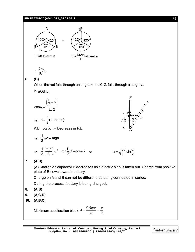## **PHASE TEST-II (ADV) GRA\_24.09.2017** [ **3** ]



$$
\therefore \ \frac{2kp}{R^3} \, .
$$

# **6. (B)**

When the rod falls through an angle  $\alpha$  the C.G. falls through a height *h*.

In  $\triangle$ OB'B,

$$
\cos\alpha = \frac{\left(\frac{L}{2} - h\right)}{L/2}
$$

i.e. 
$$
h = \frac{1}{2}(1 - \cos \alpha)
$$
  $\qquad \qquad L/2 \prod_{i=1}^{n} \left[ \frac{\alpha}{2} \right]$ 

K.E. rotation = Decrease in P.E.

i.e. 
$$
\frac{1}{2}I\omega^2 = mgh
$$

i.e. 
$$
\frac{1}{2} \left( \frac{mL^2}{3} \right) \omega^2 = mg \frac{L}{2} (1 - \cos \alpha)
$$
 or

$$
\overline{O}
$$

$$
\omega = \sqrt{\frac{6g}{i}} \sin \frac{\alpha}{2}
$$

 $L \t 2$ 

*h*

*B*

*B*'

*P*'

*L*/2

*P*

# **7. (A,D)**

(A) Charge on capacitor B decreases as dielectric slab is taken out. Charge from positive plate of B flows towards battery.

Charge on A and B can not be different, as being connected in series.

During the process, battery is being charged.

- **8. (A,B)**
- **9.** (**A,C,D)**
- **10. (A,B,C)**

Maximum acceleration block  $A = \frac{3}{m} = \frac{3}{2}$ 0.5 *g m*  $A = \frac{0.5mg}{m} =$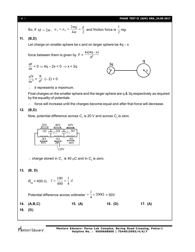So, if 
$$
M = 2m
$$
,  $a_A = a_B = \frac{2mg}{4m} = \frac{g}{2}$  and friction force is  $\frac{1}{2}mg$ .

# **11. (B,D)**

Let charge on smaller sphere be x and on larger sphere be  $4q - x$ 

 $kx(4q - x)$ force between them is given by  $F = \frac{1}{d^2}$ 3q  $\frac{dF}{dx} = 0 \Rightarrow 4q - 2x = 0 \Rightarrow x = 2q$ 2  $\frac{K}{r^2}$  (- 2) < 0  $\frac{d^2F}{dx^2} = \frac{K}{d^2}$ 2 dx

 $\therefore$  it represents a maximum.

Final charges on the smaller sphere and the larger sphere are q & 3q respectively as required by the equality of potentials

 $\therefore$  force will increase until the charges become equal and after that force will decrease.

# **12. (B,D)**

Now, potential difference across  $\mathsf{C}_\text{\tiny{1}}$  is 20 V and across  $\mathsf{C}_\text{\tiny{2}}$  is zero.



 $\therefore$  charge stored in  $C_1$  is 40  $\mu$ C and in  $C_2$  is zero.

# **13. (B, D)**

$$
R_{\text{eq}} = 400 \ \Omega, \quad I = \frac{100}{400} = \frac{1}{4} A
$$

Potential difference across voltmeter  $=$   $\frac{1}{4} \times 200\Omega$ 4 1  $= 50V$ 

**14. (A,B,C) 15. (A) 16. (D) 17. (A)**

**18. (D)**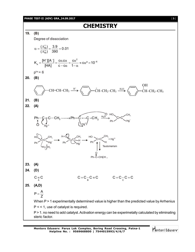### **PHASE TEST-II (ADV) GRA\_24.09.2017** [ **5** ]

# **CHEMISTRY**

**19. (B)** Degree of dissociation c M o M  $\frac{(\Lambda_{\rm M}^{\rm c})}{(1.8)} = \frac{3.9}{222} = 0.01$  $(\Lambda_{\rm M}^{\rm o})$  390  $\alpha = \frac{(\Lambda_M^c)}{(\Lambda_M^c)} = \frac{3.9}{222} = 0$  $\Lambda$ <sup>2</sup>  $\sim$   $\sim$   $\frac{2}{10^{-6}}$  $K_{\rm a} = \frac{\left[H^+\right]\left[A^-\right]}{\left[H\right]A\left[\right]} = \frac{\cos \alpha}{\cos \alpha} = \frac{\cos^2 \alpha}{\cos \alpha} \approx \cos^2 \alpha = 10$ [HA] c $-c\alpha$  1- $=\frac{[H^+][A^-]}{[H^+][A^-]}=\frac{c\alpha.c\alpha}{[H^+]}=\frac{c\alpha^2}{4} \approx c\alpha^2 = 10^{-1}$  $-c\alpha$  1- $\alpha$  $p<sup>ka</sup> = 6$ **20. (B)**  $CH=CH-CH_3 \xrightarrow{H^+} \left\langle \right\rangle \xrightarrow{+} CH_2-CH_2-CH_3 \xrightarrow{H_2O} \left\langle \right\rangle \xrightarrow{-} CH_2-CH_3$ OH **21. (B) 22. (A)**  $\bigcirc$  \.  $\bigvee_{\mathsf{Hg}^{2+}}$  $H_2O$  $\mathsf{Ph}\text{--}\mathsf{C}\equiv\mathsf{C}\text{--}\mathsf{CH}_3 \longrightarrow \mathsf{Ph}\text{--}\mathsf{C} = \text{--}\mathsf{C}\text{--}\mathsf{CH}_3 \xrightarrow{\pi_2\cup\cdots}$  $Hg^{2+}$ ..  $C = C$ HO  $Ph \sim$   $Hg^+$  $CH<sub>3</sub>$ .. HO Ph C=C  $CH<sub>3</sub>$  $Hg^+$ ..  $H_7$  $\stackrel{+}{\text{O}}H_2$  $H$ – $O_{\mathbf{S}}^*$ Ph  $C_7C$  $CH<sub>3</sub>$  $Hg^+$ H HO Ph C=C  $CH<sub>3</sub>$ H +  $Hg^{2+}$ Tautomerism  $Ph$ – $C$ – $CH$  $CH_{3}$ O **23. (A) 24. (D)** A  $C \equiv C$  $C = C - C$   $\equiv C$   $\equiv C$   $\equiv C - C$   $\equiv C$ **25. (A,D)**  $P = \frac{A}{I}$ Z  $=$ When P > 1 experimentally determined value is higher than the predicted value by Arrhenius P < < 1, use of catalyst is required. P > 1. no need to add catalyst. Activation energy can be experimetally calculated by eliminating steric factor.

Mentors<sup>®</sup> Eduserv<sup>®</sup>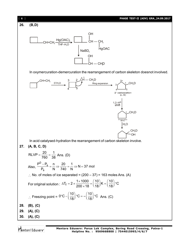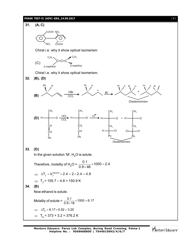### **PHASE TEST-II (ADV) GRA\_24.09.2017** [ **7** ]



Mentors<sup>®</sup> Eduserv<sup>®</sup>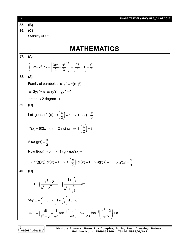| $\begin{bmatrix} 8 \end{bmatrix}$ | <b>PHASE TEST-II (ADV) GRA_24.09.2017</b>                                                                                                                                            |
|-----------------------------------|--------------------------------------------------------------------------------------------------------------------------------------------------------------------------------------|
| 35.                               | (B)                                                                                                                                                                                  |
| 36.                               | (C)                                                                                                                                                                                  |
|                                   | Stability of C <sup>+</sup> .                                                                                                                                                        |
|                                   |                                                                                                                                                                                      |
|                                   | MATHEMATICS                                                                                                                                                                          |
| 37.                               | (A)                                                                                                                                                                                  |
|                                   | $\int_{0}^{3} (3x-x^2) dx = \left[ \frac{3x^2}{2} - \frac{x^3}{3} \right]_{0}^{3} = \left[ \frac{27}{2} - 9 \right] = \frac{9}{2}$                                                   |
| 38.                               | (A)                                                                                                                                                                                  |
|                                   | Family of parabolas is $y^2 = \alpha(x-\beta)$                                                                                                                                       |
|                                   | $\Rightarrow$ 2yy' = $\alpha \Rightarrow (y')^2 + yy'' = 0$                                                                                                                          |
|                                   | order $\rightarrow$ 2, degree $\rightarrow$ 1                                                                                                                                        |
| 39.                               | (D)                                                                                                                                                                                  |
|                                   | Let $g(x) = f^{-1}(x)$ ; $f\left(\frac{\pi}{2}\right) = \pi \implies f^{-1}(\pi) = \frac{\pi}{2}$                                                                                    |
|                                   | $f'(x) = 6(2x - \pi)^2 + 2 + \sin x \implies f'\left(\frac{\pi}{2}\right) = 3$                                                                                                       |
|                                   | Also $g(\pi) = \frac{\pi}{2}$                                                                                                                                                        |
|                                   | Now $f(g(x)) = x \implies f'(g(x)). g'(x) = 1$                                                                                                                                       |
|                                   | $\Rightarrow$ f'(g( $\pi$ )).g'( $\pi$ ) = 1 $\Rightarrow$ f' $\left(\frac{\pi}{2}\right)$ .g'( $\pi$ ) = 1 $\Rightarrow$ 3g'( $\pi$ ) = 1 $\Rightarrow$ g'( $\pi$ ) = $\frac{1}{3}$ |
| 40                                | (D)                                                                                                                                                                                  |
|                                   | $I = \int \frac{x^2 + 2}{x^4 - x^2 + 4} = \int \frac{1 + \frac{2}{x^2}}{x^2 + \frac{4}{x^2} - 1} dx$                                                                                 |
|                                   | say $x - \frac{2}{x} = t \implies \left(1 + \frac{2}{x^2}\right) dx = dt$                                                                                                            |
|                                   | ⇒ $I = \int \frac{dt}{t^2 + 3} = \frac{1}{\sqrt{3}} \tan^{-1} \left( \frac{t}{\sqrt{3}} \right) + c = \frac{1}{\sqrt{3}} \tan^{-1} \left( \frac{x^2 - 2}{\sqrt{3}x} \right) + c$ .   |

Mentors<sup>®</sup> Eduserv<sup>®</sup>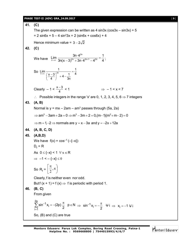### **PHASE TEST-II (ADV) GRA\_24.09.2017** [ **9** ]

**41. (C)** The given expression can be written as 4 sin3x ( $cos3x - sin3x$ ) + 5  $= 2 \sin 6x + 5 - 4 \sin^2 3x = 2 (\sin 6x + \cos 6x) + 4$ Hence minimum value =  $3 - 2\sqrt{2}$ **42. (C)** We have 2n  $\lim_{n\to\infty}\frac{3n\cdot4^{2n}}{3n(x-3)^{2n}+3n\cdot4^{2n+1}-4^{2n}}=\frac{1}{4}$  $\lim_{x \to \infty} \frac{3n(x-3)^{2n} + 3n \cdot 4^{2n+1} - 4^{2n}}{3n(x-3)^{2n} + 3n \cdot 4^{2n+1} - 4^{2n}} = \frac{1}{4}$  $\sqrt{(-3)^{2n}+3n\cdot4^{2n+1}-4^{2n}} = \frac{1}{4};$ So  $\lim_{n \to \infty} \frac{1}{(x-3)^{2n}} = \frac{1}{4}$  $\left(\frac{x-3}{4}\right)^{2n}$  + 4 -  $\frac{1}{3n}$  4  $\lim_{x\to\infty} \frac{1}{(x-3)^{2n}} =$  $\left(\frac{x-3}{4}\right)^{2n}+4-\frac{1}{3}$ Clearly  $-1 < \frac{x-3}{4}$  $\overline{\phantom{a}}$  $\Rightarrow$  -1 < x < 7  $\therefore$  Possible integers in the range 'x' are 0, 1, 2, 3, 4, 5, 6  $\Rightarrow$  7 integers **43. (A, B)** Normal is y = mx  $-$  2am  $-$  am $^3$  passes through (5a, 2a)  $\Rightarrow$  am<sup>3</sup> - 3am + 2a = 0  $\Rightarrow$  m<sup>3</sup> - 3m + 2 = 0,(m-1)(m<sup>2</sup> + m-2) = 0  $\Rightarrow$  m = 1, -2  $\Rightarrow$  normals are y = x - 3a and y = -2x + 12a **44. (A, B, C, D) 45. (A,B,D)** We have  $f(x) = cos^{-1}(-(-x))$  $D_f = R$ As  $0 \leq \{-x\} < 1 \quad \forall x \in \mathbb{R}$  $\Rightarrow$  -1 < -{-x}  $\leq$  0 So R<sub>f</sub> =  $\left(\frac{\pi}{2}, \pi\right)$ J  $\setminus$  $\overline{\mathsf{L}}$  $\left| \frac{\pi}{2}, \pi \right|$ 2 Clearly, f is neither even nor odd. Butf  $(x + 1) = f(x) \Rightarrow f$  is periodic with period 1. **46. (B, C)** From given 2p 1 i  $i = 1$  $\sin^{-1} x_i = -(2p) \frac{\pi}{6}$   $p \in N$ 2 - $=$  $\sum_{i=1}^{2p} \sin^{-1} x_i = -(2p) \frac{\pi}{2}$   $p \in N \implies \sin^{-1} x_i = -\frac{\pi}{2}$   $\forall i$ 2  $\Rightarrow$  sin<sup>-1</sup> x<sub>i</sub> = - $\frac{\pi}{2}$   $\forall i \Rightarrow$  x<sub>i</sub> = -1  $\forall i$ So, (B) and (C) are true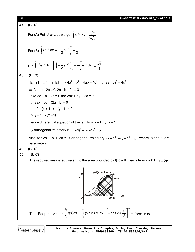